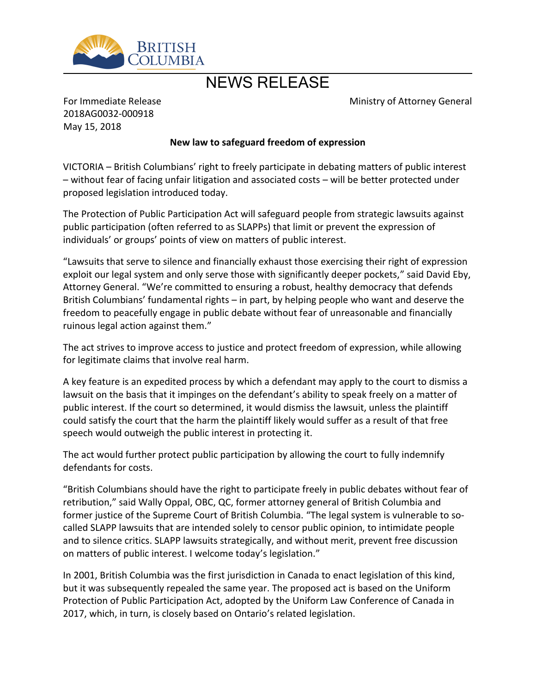

## NEWS RELEASE

Ministry of Attorney General

For Immediate Release 2018AG0032-000918 May 15, 2018

## **New law to safeguard freedom of expression**

VICTORIA – British Columbians' right to freely participate in debating matters of public interest – without fear of facing unfair litigation and associated costs – will be better protected under proposed legislation introduced today.

The Protection of Public Participation Act will safeguard people from strategic lawsuits against public participation (often referred to as SLAPPs) that limit or prevent the expression of individuals' or groups' points of view on matters of public interest.

"Lawsuits that serve to silence and financially exhaust those exercising their right of expression exploit our legal system and only serve those with significantly deeper pockets," said David Eby, Attorney General. "We're committed to ensuring a robust, healthy democracy that defends British Columbians' fundamental rights – in part, by helping people who want and deserve the freedom to peacefully engage in public debate without fear of unreasonable and financially ruinous legal action against them."

The act strives to improve access to justice and protect freedom of expression, while allowing for legitimate claims that involve real harm.

A key feature is an expedited process by which a defendant may apply to the court to dismiss a lawsuit on the basis that it impinges on the defendant's ability to speak freely on a matter of public interest. If the court so determined, it would dismiss the lawsuit, unless the plaintiff could satisfy the court that the harm the plaintiff likely would suffer as a result of that free speech would outweigh the public interest in protecting it.

The act would further protect public participation by allowing the court to fully indemnify defendants for costs.

"British Columbians should have the right to participate freely in public debates without fear of retribution," said Wally Oppal, OBC, QC, former attorney general of British Columbia and former justice of the Supreme Court of British Columbia. "The legal system is vulnerable to socalled SLAPP lawsuits that are intended solely to censor public opinion, to intimidate people and to silence critics. SLAPP lawsuits strategically, and without merit, prevent free discussion on matters of public interest. I welcome today's legislation."

In 2001, British Columbia was the first jurisdiction in Canada to enact legislation of this kind, but it was subsequently repealed the same year. The proposed act is based on the Uniform Protection of Public Participation Act, adopted by the Uniform Law Conference of Canada in 2017, which, in turn, is closely based on Ontario's related legislation.